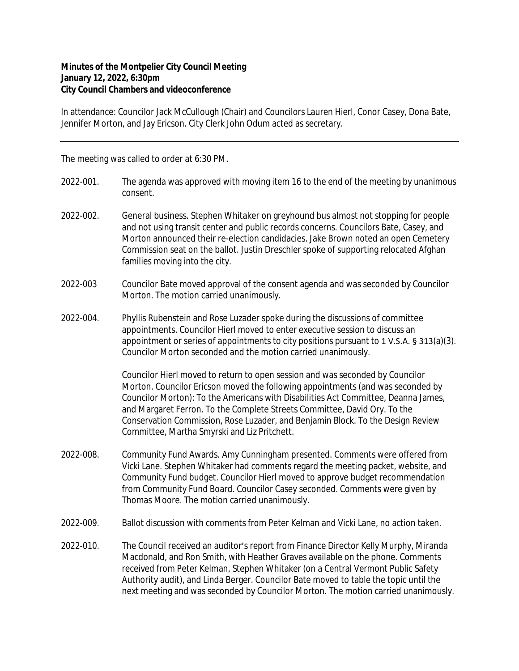## **Minutes of the Montpelier City Council Meeting January 12, 2022, 6:30pm City Council Chambers and videoconference**

In attendance: Councilor Jack McCullough (Chair) and Councilors Lauren Hierl, Conor Casey, Dona Bate, Jennifer Morton, and Jay Ericson. City Clerk John Odum acted as secretary.

The meeting was called to order at 6:30 PM.

- 2022-001. The agenda was approved with moving item 16 to the end of the meeting by unanimous consent.
- 2022-002. General business. Stephen Whitaker on greyhound bus almost not stopping for people and not using transit center and public records concerns. Councilors Bate, Casey, and Morton announced their re-election candidacies. Jake Brown noted an open Cemetery Commission seat on the ballot. Justin Dreschler spoke of supporting relocated Afghan families moving into the city.
- 2022-003 Councilor Bate moved approval of the consent agenda and was seconded by Councilor Morton. The motion carried unanimously.
- 2022-004. Phyllis Rubenstein and Rose Luzader spoke during the discussions of committee appointments. Councilor Hierl moved to enter executive session to discuss an appointment or series of appointments to city positions pursuant to 1 V.S.A. § 313(a)(3). Councilor Morton seconded and the motion carried unanimously.

Councilor Hierl moved to return to open session and was seconded by Councilor Morton. Councilor Ericson moved the following appointments (and was seconded by Councilor Morton): To the Americans with Disabilities Act Committee, Deanna James, and Margaret Ferron. To the Complete Streets Committee, David Ory. To the Conservation Commission, Rose Luzader, and Benjamin Block. To the Design Review Committee, Martha Smyrski and Liz Pritchett.

- 2022-008. Community Fund Awards. Amy Cunningham presented. Comments were offered from Vicki Lane. Stephen Whitaker had comments regard the meeting packet, website, and Community Fund budget. Councilor Hierl moved to approve budget recommendation from Community Fund Board. Councilor Casey seconded. Comments were given by Thomas Moore. The motion carried unanimously.
- 2022-009. Ballot discussion with comments from Peter Kelman and Vicki Lane, no action taken.
- 2022-010. The Council received an auditor's report from Finance Director Kelly Murphy, Miranda Macdonald, and Ron Smith, with Heather Graves available on the phone. Comments received from Peter Kelman, Stephen Whitaker (on a Central Vermont Public Safety Authority audit), and Linda Berger. Councilor Bate moved to table the topic until the next meeting and was seconded by Councilor Morton. The motion carried unanimously.